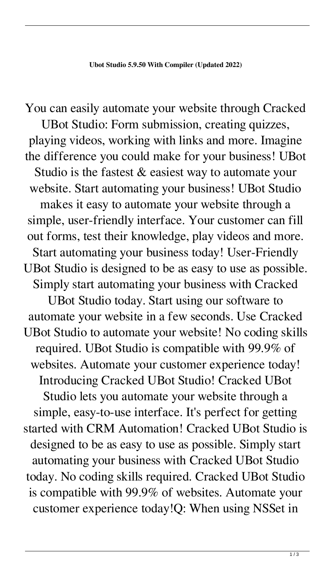You can easily automate your website through Cracked UBot Studio: Form submission, creating quizzes, playing videos, working with links and more. Imagine the difference you could make for your business! UBot Studio is the fastest & easiest way to automate your website. Start automating your business! UBot Studio makes it easy to automate your website through a simple, user-friendly interface. Your customer can fill out forms, test their knowledge, play videos and more. Start automating your business today! User-Friendly UBot Studio is designed to be as easy to use as possible. Simply start automating your business with Cracked UBot Studio today. Start using our software to automate your website in a few seconds. Use Cracked UBot Studio to automate your website! No coding skills required. UBot Studio is compatible with 99.9% of websites. Automate your customer experience today! Introducing Cracked UBot Studio! Cracked UBot Studio lets you automate your website through a simple, easy-to-use interface. It's perfect for getting started with CRM Automation! Cracked UBot Studio is designed to be as easy to use as possible. Simply start automating your business with Cracked UBot Studio today. No coding skills required. Cracked UBot Studio is compatible with 99.9% of websites. Automate your customer experience today!Q: When using NSSet in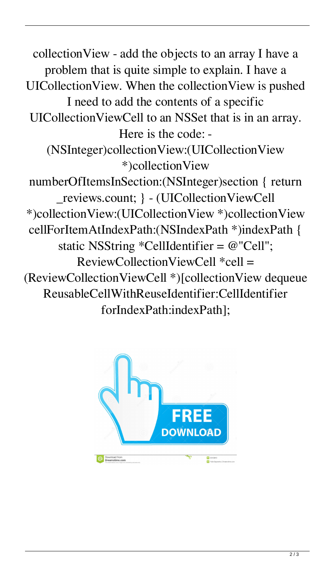collectionView - add the objects to an array I have a problem that is quite simple to explain. I have a UICollectionView. When the collectionView is pushed I need to add the contents of a specific UICollectionViewCell to an NSSet that is in an array. Here is the code: - (NSInteger)collectionView:(UICollectionView \*)collectionView numberOfItemsInSection:(NSInteger)section { return \_reviews.count; } - (UICollectionViewCell \*)collectionView:(UICollectionView \*)collectionView cellForItemAtIndexPath:(NSIndexPath \*)indexPath { static NSString \*CellIdentifier = @"Cell";  $ReviewCollectionViewCell *cell =$ (ReviewCollectionViewCell \*)[collectionView dequeue ReusableCellWithReuseIdentifier:CellIdentifier forIndexPath:indexPath];